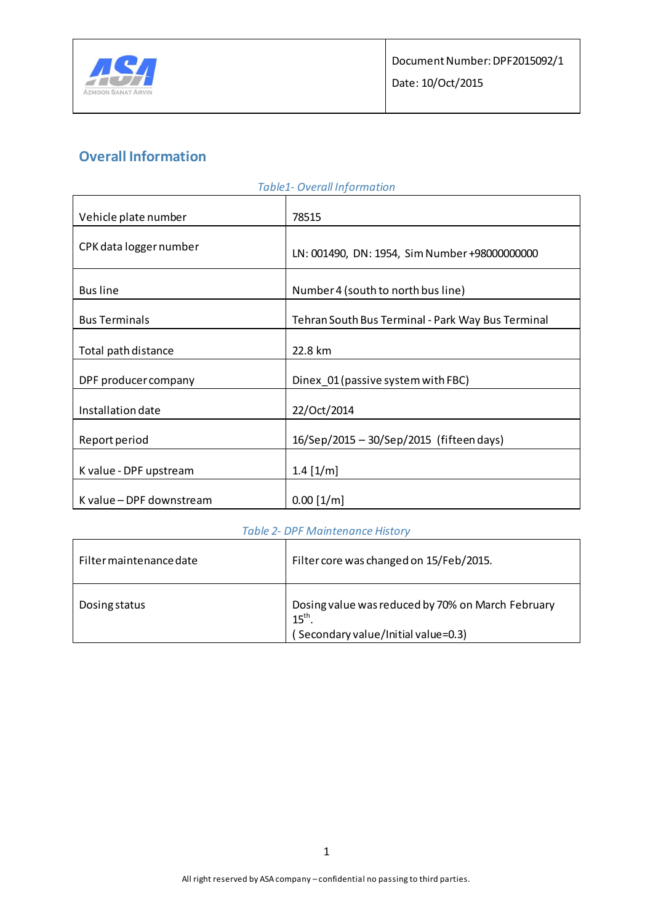

# **Overall Information**

| TUDIEI- OVERAILINJOHNATIONI |                                                   |  |
|-----------------------------|---------------------------------------------------|--|
| Vehicle plate number        | 78515                                             |  |
| CPK data logger number      | LN: 001490, DN: 1954, Sim Number +98000000000     |  |
| <b>Bus line</b>             | Number 4 (south to north bus line)                |  |
| <b>Bus Terminals</b>        | Tehran South Bus Terminal - Park Way Bus Terminal |  |
| Total path distance         | 22.8 km                                           |  |
| DPF producer company        | Dinex 01 (passive system with FBC)                |  |
| Installation date           | 22/Oct/2014                                       |  |
| Report period               | 16/Sep/2015 - 30/Sep/2015 (fifteen days)          |  |
| K value - DPF upstream      | $1.4$ [ $1/m$ ]                                   |  |
| K value - DPF downstream    | $0.00$ [1/m]                                      |  |

### *Table1- Overall Information*

#### *Table 2- DPF Maintenance History*

| Filter maintenance date | Filter core was changed on 15/Feb/2015.                                                                      |
|-------------------------|--------------------------------------------------------------------------------------------------------------|
| Dosing status           | Dosing value was reduced by 70% on March February<br>$15^{\text{th}}$<br>(Secondary value/Initial value=0.3) |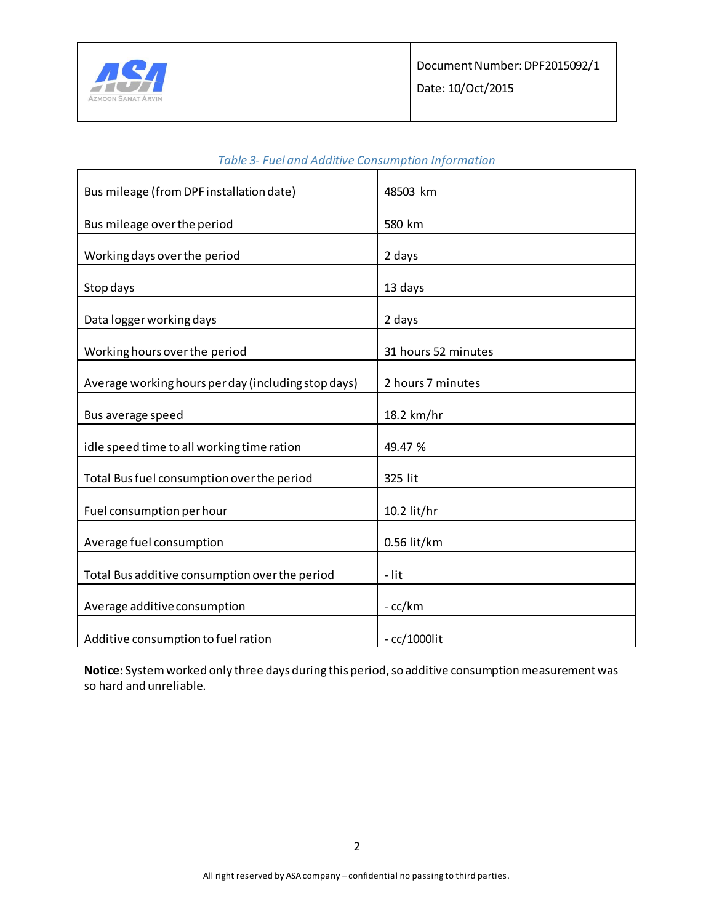

| Bus mileage (from DPF installation date)            | 48503 km            |
|-----------------------------------------------------|---------------------|
| Bus mileage over the period                         | 580 km              |
| Working days over the period                        | 2 days              |
| Stop days                                           | 13 days             |
| Data logger working days                            | 2 days              |
| Working hours over the period                       | 31 hours 52 minutes |
| Average working hours per day (including stop days) | 2 hours 7 minutes   |
| Bus average speed                                   | 18.2 km/hr          |
| idle speed time to all working time ration          | 49.47 %             |
| Total Bus fuel consumption over the period          | 325 lit             |
| Fuel consumption per hour                           | 10.2 lit/hr         |
| Average fuel consumption                            | 0.56 lit/km         |
| Total Bus additive consumption over the period      | - lit               |
| Average additive consumption                        | - cc/km             |
| Additive consumption to fuel ration                 | $-$ cc/1000lit      |

### *Table 3- Fuel and Additive Consumption Information*

**Notice:** System worked only three days during this period, so additive consumption measurement was so hard and unreliable.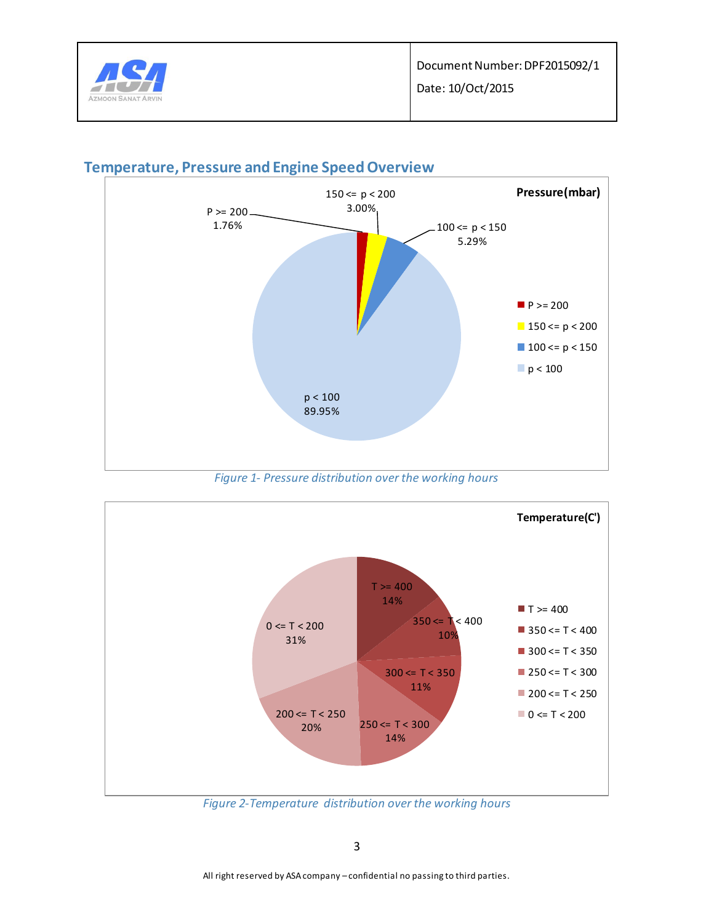



### **Temperature, Pressure and Engine Speed Overview**

*Figure 1- Pressure distribution over the working hours*



*Figure 2-Temperature distribution over the working hours*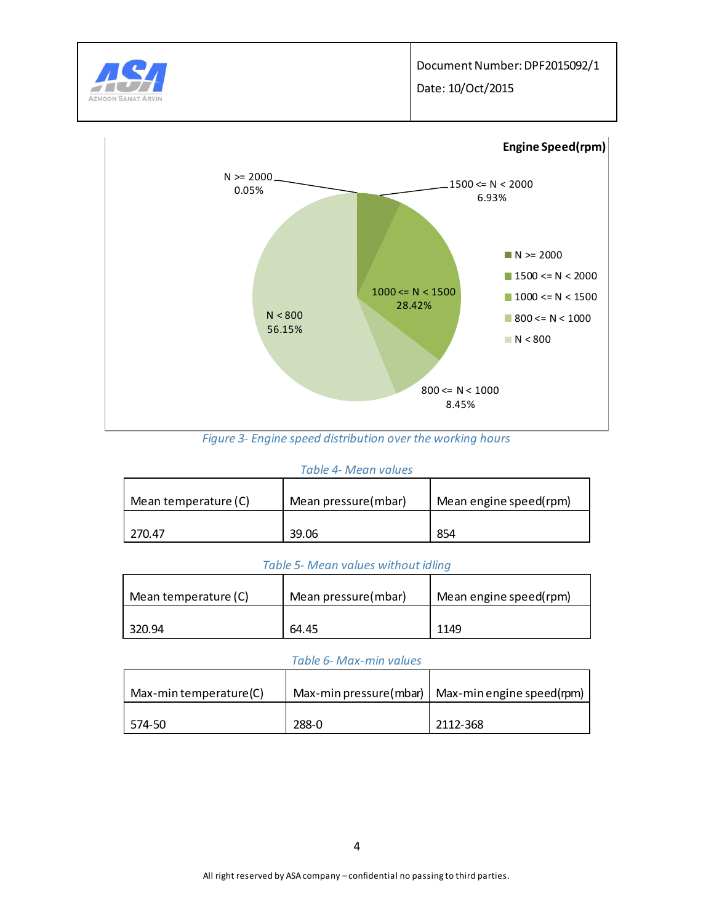



*Figure 3- Engine speed distribution over the working hours*

#### *Table 4- Mean values*

| Mean temperature (C) | Mean pressure(mbar) | Mean engine speed(rpm) |
|----------------------|---------------------|------------------------|
| 270.47               | 39.06               | 854                    |

#### *Table 5- Mean values without idling*

| Mean temperature (C) | Mean pressure(mbar) | Mean engine speed(rpm) |
|----------------------|---------------------|------------------------|
| 320.94               | 64.45               | 1149                   |

#### *Table 6- Max-min values*

| Max-min temperature(C) |       | Max-min pressure(mbar) $\vert$ Max-min engine speed(rpm) |
|------------------------|-------|----------------------------------------------------------|
| 574-50                 | 288-0 | 2112-368                                                 |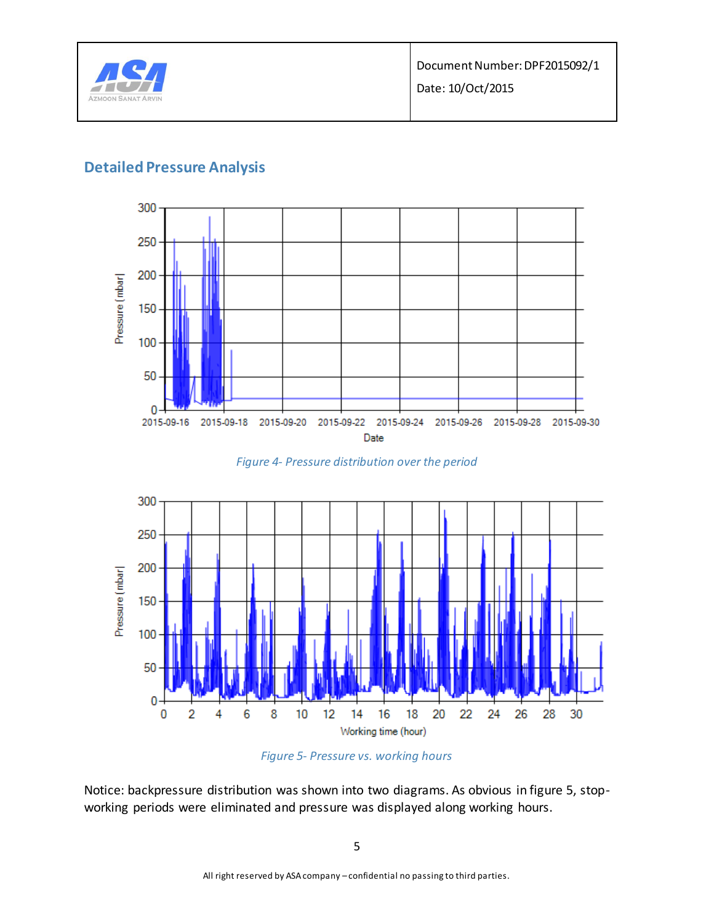

## **Detailed Pressure Analysis**



*Figure 4- Pressure distribution over the period*





Notice: backpressure distribution was shown into two diagrams. As obvious in figure 5, stopworking periods were eliminated and pressure was displayed along working hours.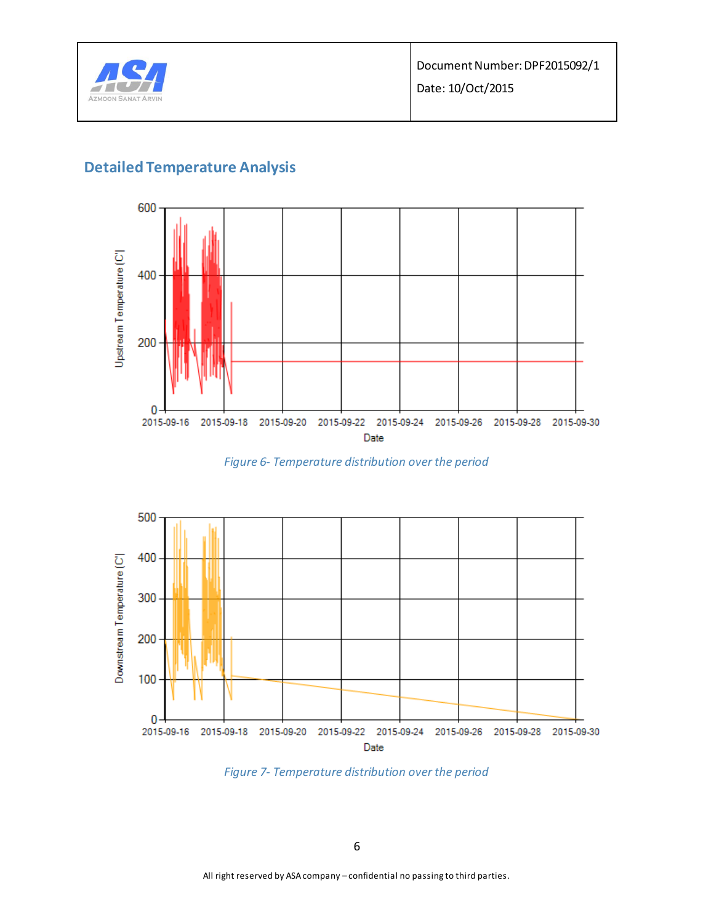

# **Detailed Temperature Analysis**



*Figure 6- Temperature distribution over the period*



*Figure 7- Temperature distribution over the period*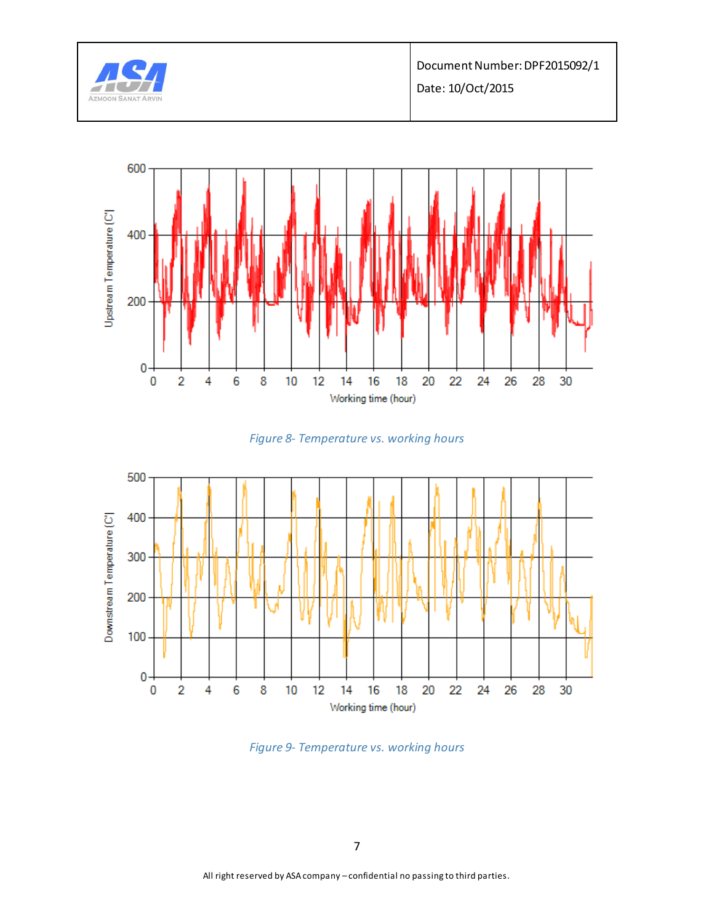

Document Number: DPF2015092/1 Date: 10/Oct/2015

Upstream Temperature (C'  $\overline{0}$  $\overline{2}$ Working time (hour)





*Figure 9- Temperature vs. working hours*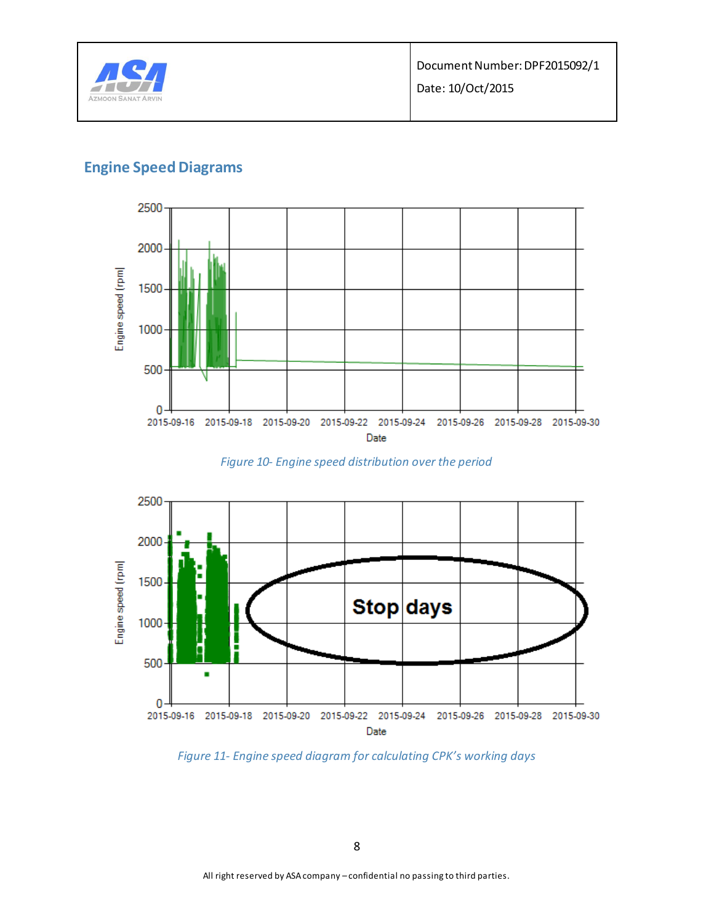

## **Engine Speed Diagrams**



*Figure 10- Engine speed distribution over the period*



*Figure 11- Engine speed diagram for calculating CPK's working days*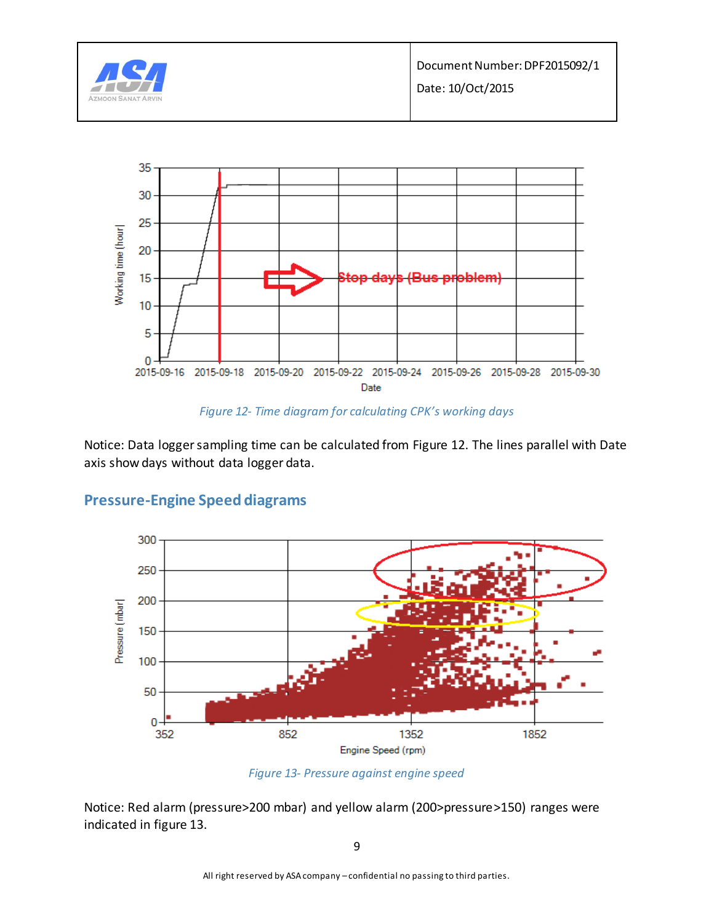

*Figure 12- Time diagram for calculating CPK's working days*

Notice: Data logger sampling time can be calculated from Figure 12. The lines parallel with Date axis show days without data logger data.

### **Pressure-Engine Speed diagrams**



*Figure 13- Pressure against engine speed*

Notice: Red alarm (pressure>200 mbar) and yellow alarm (200>pressure>150) ranges were indicated in figure 13.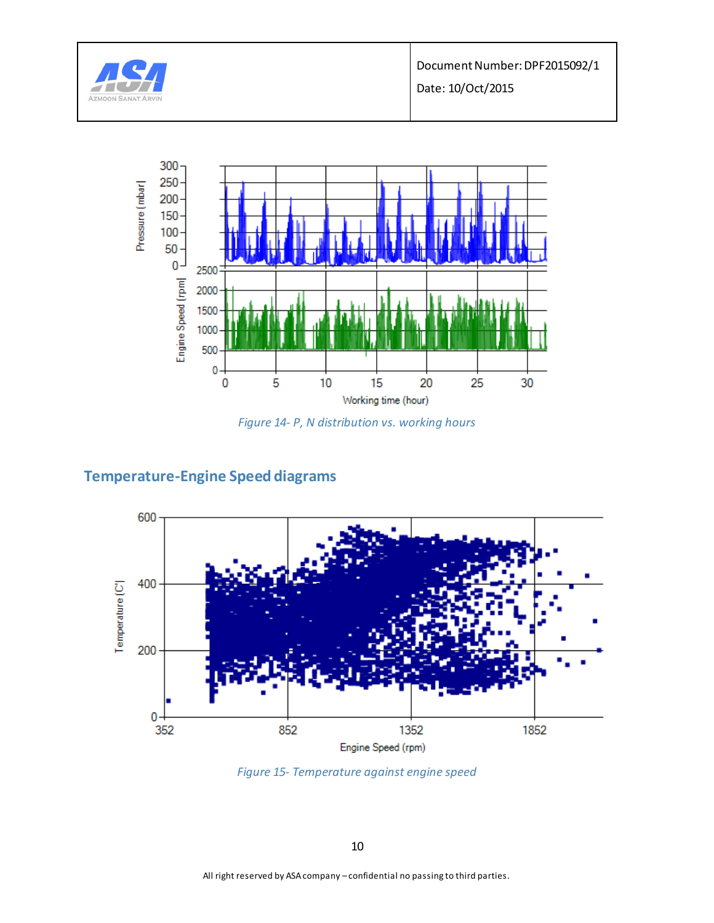

Document Number: DPF2015092/1

Date: 10/Oct/2015



*Figure 14- P, N distribution vs. working hours*

### **Temperature-Engine Speed diagrams**



*Figure 15- Temperature against engine speed*